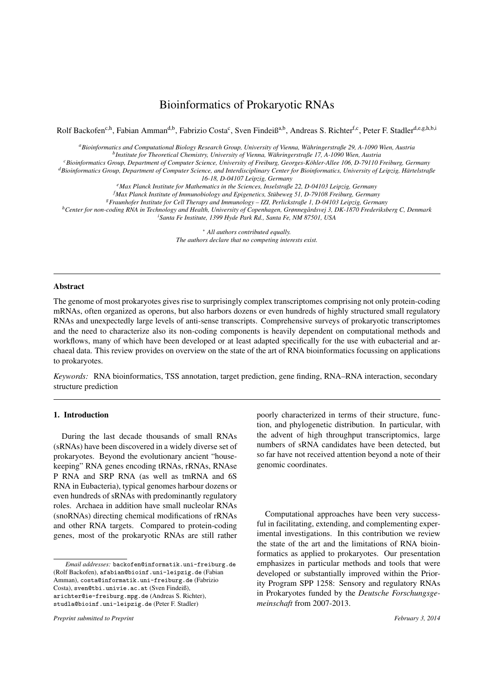# Bioinformatics of Prokaryotic RNAs

Rolf Backofen<sup>c,h</sup>, Fabian Amman<sup>d,b</sup>, Fabrizio Costa<sup>c</sup>, Sven Findeiß<sup>a,b</sup>, Andreas S. Richter<sup>f,c</sup>, Peter F. Stadler<sup>d,e,g,h,b,i</sup>

*<sup>a</sup>Bioinformatics and Computational Biology Research Group, University of Vienna, W ¨ahringerstraße 29, A-1090 Wien, Austria*

*b Institute for Theoretical Chemistry, University of Vienna, W¨ahringerstraße 17, A-1090 Wien, Austria*

<sup>c</sup> Bioinformatics Group, Department of Computer Science, University of Freiburg, Georges-Köhler-Allee 106, D-79110 Freiburg, Germany

<sup>d</sup>Bioinformatics Group, Department of Computer Science, and Interdisciplinary Center for Bioinformatics, University of Leipzig, Härtelstraße

*16-18, D-04107 Leipzig, Germany*

*<sup>e</sup>Max Planck Institute for Mathematics in the Sciences, Inselstraße 22, D-04103 Leipzig, Germany*

*f* Max Planck Institute of Immunobiology and Epigenetics, Stübeweg 51, D-79108 Freiburg, Germany

*<sup>g</sup>Fraunhofer Institute for Cell Therapy and Immunology – IZI, Perlickstraße 1, D-04103 Leipzig, Germany*

*<sup>h</sup>Center for non-coding RNA in Technology and Health, University of Copenhagen, Grønnegårdsvej 3, DK-1870 Frederiksberg C, Denmark*

*<sup>i</sup>Santa Fe Institute, 1399 Hyde Park Rd., Santa Fe, NM 87501, USA*

<sup>∗</sup> *All authors contributed equally. The authors declare that no competing interests exist.*

## Abstract

The genome of most prokaryotes gives rise to surprisingly complex transcriptomes comprising not only protein-coding mRNAs, often organized as operons, but also harbors dozens or even hundreds of highly structured small regulatory RNAs and unexpectedly large levels of anti-sense transcripts. Comprehensive surveys of prokaryotic transcriptomes and the need to characterize also its non-coding components is heavily dependent on computational methods and workflows, many of which have been developed or at least adapted specifically for the use with eubacterial and archaeal data. This review provides on overview on the state of the art of RNA bioinformatics focussing on applications to prokaryotes.

*Keywords:* RNA bioinformatics, TSS annotation, target prediction, gene finding, RNA–RNA interaction, secondary structure prediction

# 1. Introduction

During the last decade thousands of small RNAs (sRNAs) have been discovered in a widely diverse set of prokaryotes. Beyond the evolutionary ancient "housekeeping" RNA genes encoding tRNAs, rRNAs, RNAse P RNA and SRP RNA (as well as tmRNA and 6S RNA in Eubacteria), typical genomes harbour dozens or even hundreds of sRNAs with predominantly regulatory roles. Archaea in addition have small nucleolar RNAs (snoRNAs) directing chemical modifications of rRNAs and other RNA targets. Compared to protein-coding genes, most of the prokaryotic RNAs are still rather

*Preprint submitted to Preprint February 3, 2014*

poorly characterized in terms of their structure, function, and phylogenetic distribution. In particular, with the advent of high throughput transcriptomics, large numbers of sRNA candidates have been detected, but so far have not received attention beyond a note of their genomic coordinates.

Computational approaches have been very successful in facilitating, extending, and complementing experimental investigations. In this contribution we review the state of the art and the limitations of RNA bioinformatics as applied to prokaryotes. Our presentation emphasizes in particular methods and tools that were developed or substantially improved within the Priority Program SPP 1258: Sensory and regulatory RNAs in Prokaryotes funded by the *Deutsche Forschungsgemeinschaft* from 2007-2013.

*Email addresses:* backofen@informatik.uni-freiburg.de (Rolf Backofen), afabian@bioinf.uni-leipzig.de (Fabian Amman), costa@informatik.uni-freiburg.de (Fabrizio Costa), sven@tbi.univie.ac.at (Sven Findeiß), arichter@ie-freiburg.mpg.de (Andreas S. Richter), studla@bioinf.uni-leipzig.de (Peter F. Stadler)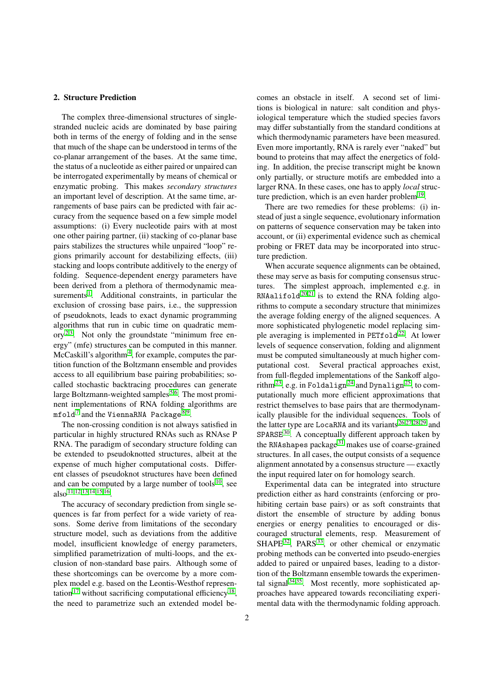## <span id="page-1-0"></span>2. Structure Prediction

The complex three-dimensional structures of singlestranded nucleic acids are dominated by base pairing both in terms of the energy of folding and in the sense that much of the shape can be understood in terms of the co-planar arrangement of the bases. At the same time, the status of a nucleotide as either paired or unpaired can be interrogated experimentally by means of chemical or enzymatic probing. This makes *secondary structures* an important level of description. At the same time, arrangements of base pairs can be predicted with fair accuracy from the sequence based on a few simple model assumptions: (i) Every nucleotide pairs with at most one other pairing partner, (ii) stacking of co-planar base pairs stabilizes the structures while unpaired "loop" regions primarily account for destabilizing effects, (iii) stacking and loops contribute additively to the energy of folding. Sequence-dependent energy parameters have been derived from a plethora of thermodynamic mea-surements<sup>[1](#page-11-0)</sup>. Additional constraints, in particular the exclusion of crossing base pairs, i.e., the suppression of pseudoknots, leads to exact dynamic programming algorithms that run in cubic time on quadratic mem- $\text{ory}^{2,3}$  $\text{ory}^{2,3}$  $\text{ory}^{2,3}$  $\text{ory}^{2,3}$ . Not only the groundstate "minimum free energy" (mfe) structures can be computed in this manner.  $McCaskill's algorithm<sup>4</sup>, for example, computes the par McCaskill's algorithm<sup>4</sup>, for example, computes the par McCaskill's algorithm<sup>4</sup>, for example, computes the par$ tition function of the Boltzmann ensemble and provides access to all equilibrium base pairing probabilities; socalled stochastic backtracing procedures can generate large Boltzmann-weighted samples<sup>[5](#page-11-4)[,6](#page-11-5)</sup>. The most prominent implementations of RNA folding algorithms are <code>mfold $^7$  $^7$ </code> and the <code>ViennaRNA Package</code>  $^{8,9}.$  $^{8,9}.$  $^{8,9}.$  $^{8,9}.$ 

The non-crossing condition is not always satisfied in particular in highly structured RNAs such as RNAse P RNA. The paradigm of secondary structure folding can be extended to pseudoknotted structures, albeit at the expense of much higher computational costs. Different classes of pseudoknot structures have been defined and can be computed by a large number of tools<sup>[10](#page-11-9)</sup>, see  $also$ <sup>[11,](#page-11-10)[12](#page-11-11)[,13,](#page-11-12)[14](#page-11-13)[,15](#page-12-0)[,16](#page-12-1)</sup>.

The accuracy of secondary prediction from single sequences is far from perfect for a wide variety of reasons. Some derive from limitations of the secondary structure model, such as deviations from the additive model, insufficient knowledge of energy parameters, simplified parametrization of multi-loops, and the exclusion of non-standard base pairs. Although some of these shortcomings can be overcome by a more complex model e.g. based on the Leontis-Westhof represen-tation<sup>[17](#page-12-2)</sup> without sacrificing computational efficiency<sup>[18](#page-12-3)</sup>, the need to parametrize such an extended model becomes an obstacle in itself. A second set of limitions is biological in nature: salt condition and physiological temperature which the studied species favors may differ substantially from the standard conditions at which thermodynamic parameters have been measured. Even more importantly, RNA is rarely ever "naked" but bound to proteins that may affect the energetics of folding. In addition, the precise transcript might be known only partially, or structure motifs are embedded into a larger RNA. In these cases, one has to apply *local* structure prediction, which is an even harder problem  $19$ .

There are two remedies for these problems: (i) instead of just a single sequence, evolutionary information on patterns of sequence conservation may be taken into account, or (ii) experimental evidence such as chemical probing or FRET data may be incorporated into structure prediction.

When accurate sequence alignments can be obtained, these may serve as basis for computing consensus structures. The simplest approach, implemented e.g. in RNAalifold<sup>[20,](#page-12-5)[21](#page-12-6)</sup> is to extend the RNA folding algorithms to compute a secondary structure that minimizes the average folding energy of the aligned sequences. A more sophisticated phylogenetic model replacing sim-ple averaging is implemented in PETfold<sup>[22](#page-12-7)</sup>. At lower levels of sequence conservation, folding and alignment must be computed simultaneously at much higher computational cost. Several practical approaches exist, from full-flegded implementations of the Sankoff algo-rithm<sup>[23](#page-12-8)</sup>, e.g. in Foldalign<sup>[24](#page-12-9)</sup> and Dynalign<sup>[25](#page-12-10)</sup>, to computationally much more efficient approximations that restrict themselves to base pairs that are thermodynamically plausible for the individual sequences. Tools of the latter type are LocaRNA and its variants [26](#page-12-11)[,27](#page-12-12)[,28,](#page-12-13)[29](#page-12-14) and  $SPARSE<sup>30</sup>$  $SPARSE<sup>30</sup>$  $SPARSE<sup>30</sup>$ . A conceptually different approach taken by the RNAshapes package [31](#page-12-16) makes use of coarse-grained structures. In all cases, the output consists of a sequence alignment annotated by a consensus structure — exactly the input required later on for homology search.

Experimental data can be integrated into structure prediction either as hard constraints (enforcing or prohibiting certain base pairs) or as soft constraints that distort the ensemble of structure by adding bonus energies or energy penalities to encouraged or discouraged structural elements, resp. Measurement of  $SHAPE^{32}$  $SHAPE^{32}$  $SHAPE^{32}$ , PARS<sup>[33](#page-12-18)</sup>, or other chemical or enzymatic probing methods can be converted into pseudo-energies added to paired or unpaired bases, leading to a distortion of the Boltzmann ensemble towards the experimental signal  $34,35$  $34,35$ . Most recently, more sophisticated approaches have appeared towards reconciliating experimental data with the thermodynamic folding approach.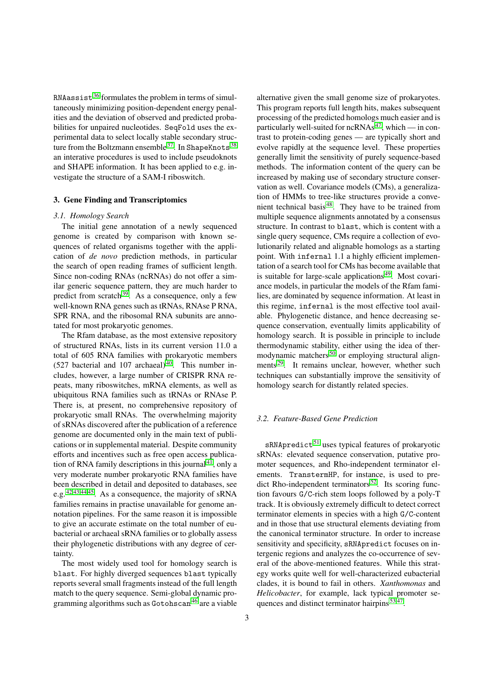RNAassist<sup>[36](#page-12-21)</sup> formulates the problem in terms of simultaneously minimizing position-dependent energy penalities and the deviation of observed and predicted probabilities for unpaired nucleotides. SeqFold uses the experimental data to select locally stable secondary structure from the Boltzmann ensemble  $37$ . In ShapeKnots  $38$ an interative procedures is used to include pseudoknots and SHAPE information. It has been applied to e.g. investigate the structure of a SAM-I riboswitch.

### 3. Gene Finding and Transcriptomics

#### <span id="page-2-0"></span>*3.1. Homology Search*

The initial gene annotation of a newly sequenced genome is created by comparison with known sequences of related organisms together with the application of *de novo* prediction methods, in particular the search of open reading frames of sufficient length. Since non-coding RNAs (ncRNAs) do not offer a similar generic sequence pattern, they are much harder to predict from scratch<sup>[39](#page-12-24)</sup>. As a consequence, only a few well-known RNA genes such as tRNAs, RNAse P RNA, SPR RNA, and the ribosomal RNA subunits are annotated for most prokaryotic genomes.

The Rfam database, as the most extensive repository of structured RNAs, lists in its current version 11.0 a total of 605 RNA families with prokaryotic members  $(527$  bacterial and 107 archaeal)<sup>[40](#page-12-25)</sup>. This number includes, however, a large number of CRISPR RNA repeats, many riboswitches, mRNA elements, as well as ubiquitous RNA families such as tRNAs or RNAse P. There is, at present, no comprehensive repository of prokaryotic small RNAs. The overwhelming majority of sRNAs discovered after the publication of a reference genome are documented only in the main text of publications or in supplemental material. Despite community efforts and incentives such as free open access publica-tion of RNA family descriptions in this journal<sup>[41](#page-12-26)</sup>, only a very moderate number prokaryotic RNA families have been described in detail and deposited to databases, see e.g. [42,](#page-12-27)[43,](#page-12-28)[44](#page-12-29)[,45](#page-12-30). As a consequence, the majority of sRNA families remains in practise unavailable for genome annotation pipelines. For the same reason it is impossible to give an accurate estimate on the total number of eubacterial or archaeal sRNA families or to globally assess their phylogenetic distributions with any degree of certainty.

The most widely used tool for homology search is blast. For highly diverged sequences blast typically reports several small fragments instead of the full length match to the query sequence. Semi-global dynamic programming algorithms such as Gotohscan[46](#page-12-31) are a viable

alternative given the small genome size of prokaryotes. This program reports full length hits, makes subsequent processing of the predicted homologs much easier and is particularly well-suited for  $nCRNAs<sup>47</sup>$  $nCRNAs<sup>47</sup>$  $nCRNAs<sup>47</sup>$ , which — in contrast to protein-coding genes — are typically short and evolve rapidly at the sequence level. These properties generally limit the sensitivity of purely sequence-based methods. The information content of the query can be increased by making use of secondary structure conservation as well. Covariance models (CMs), a generalization of HMMs to tree-like structures provide a convenient technical basis [48](#page-12-33). They have to be trained from multiple sequence alignments annotated by a consensus structure. In contrast to blast, which is content with a single query sequence, CMs require a collection of evolutionarily related and alignable homologs as a starting point. With infernal 1.1 a highly efficient implementation of a search tool for CMs has become available that is suitable for large-scale applications<sup>[49](#page-12-34)</sup>. Most covariance models, in particular the models of the Rfam families, are dominated by sequence information. At least in this regime, infernal is the most effective tool available. Phylogenetic distance, and hence decreasing sequence conservation, eventually limits applicability of homology search. It is possible in principle to include thermodynamic stability, either using the idea of ther-modynamic matchers<sup>[50](#page-12-35)</sup> or employing structural align-ments<sup>[29](#page-12-14)</sup>. It remains unclear, however, whether such techniques can substantially improve the sensitivity of homology search for distantly related species.

# *3.2. Feature-Based Gene Prediction*

 $s$ RNApredict<sup>[51](#page-12-36)</sup> uses typical features of prokaryotic sRNAs: elevated sequence conservation, putative promoter sequences, and Rho-independent terminator elements. TranstermHP, for instance, is used to predict Rho-independent terminators  $52$ . Its scoring function favours G/C-rich stem loops followed by a poly-T track. It is obviously extremely difficult to detect correct terminator elements in species with a high G/C-content and in those that use structural elements deviating from the canonical terminator structure. In order to increase sensitivity and specificity, sRNApredict focuses on intergenic regions and analyzes the co-occurrence of several of the above-mentioned features. While this strategy works quite well for well-characterized eubacterial clades, it is bound to fail in others. *Xanthomonas* and *Helicobacter*, for example, lack typical promoter se-quences and distinct terminator hairpins <sup>[53,](#page-12-38)[47](#page-12-32)</sup>.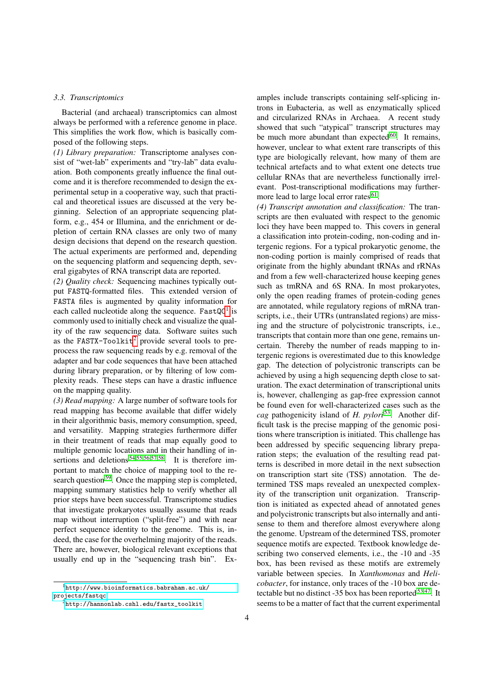#### *3.3. Transcriptomics*

Bacterial (and archaeal) transcriptomics can almost always be performed with a reference genome in place. This simplifies the work flow, which is basically composed of the following steps.

*(1) Library preparation:* Transcriptome analyses consist of "wet-lab" experiments and "try-lab" data evaluation. Both components greatly influence the final outcome and it is therefore recommended to design the experimental setup in a cooperative way, such that practical and theoretical issues are discussed at the very beginning. Selection of an appropriate sequencing platform, e.g., 454 or Illumina, and the enrichment or depletion of certain RNA classes are only two of many design decisions that depend on the research question. The actual experiments are performed and, depending on the sequencing platform and sequencing depth, several gigabytes of RNA transcript data are reported.

*(2) Quality check:* Sequencing machines typically output FASTQ-formatted files. This extended version of FASTA files is augmented by quality information for each called nucleotide along the sequence. FastQC<sup>[1](#page-3-0)</sup> is commonly used to initially check and visualize the quality of the raw sequencing data. Software suites such as the FASTX-Toolkit<sup>[2](#page-3-1)</sup> provide several tools to preprocess the raw sequencing reads by e.g. removal of the adapter and bar code sequences that have been attached during library preparation, or by filtering of low complexity reads. These steps can have a drastic influence on the mapping quality.

*(3) Read mapping:* A large number of software tools for read mapping has become available that differ widely in their algorithmic basis, memory consumption, speed, and versatility. Mapping strategies furthermore differ in their treatment of reads that map equally good to multiple genomic locations and in their handling of in-sertions and deletions<sup>[54,](#page-13-0)[55,](#page-13-1)[56](#page-13-2)[,57,](#page-13-3)[58](#page-13-4)</sup>. It is therefore important to match the choice of mapping tool to the re-search question<sup>[59](#page-13-5)</sup>. Once the mapping step is completed, mapping summary statistics help to verify whether all prior steps have been successful. Transcriptome studies that investigate prokaryotes usually assume that reads map without interruption ("split-free") and with near perfect sequence identity to the genome. This is, indeed, the case for the overhelming majority of the reads. There are, however, biological relevant exceptions that usually end up in the "sequencing trash bin". Ex-

<span id="page-3-0"></span><sup>1</sup>[http://www.bioinformatics.babraham.ac.uk/]( http://www.bioinformatics.babraham.ac.uk/projects/fastqc) [projects/fastqc]( http://www.bioinformatics.babraham.ac.uk/projects/fastqc)

amples include transcripts containing self-splicing introns in Eubacteria, as well as enzymatically spliced and circularized RNAs in Archaea. A recent study showed that such "atypical" transcript structures may be much more abundant than expected $^{60}$  $^{60}$  $^{60}$ . It remains, however, unclear to what extent rare transcripts of this type are biologically relevant, how many of them are technical artefacts and to what extent one detects true cellular RNAs that are nevertheless functionally irrelevant. Post-transcriptional modifications may further-more lead to large local error rates<sup>[61](#page-13-7)</sup>.

*(4) Transcript annotation and classification:* The transcripts are then evaluated with respect to the genomic loci they have been mapped to. This covers in general a classification into protein-coding, non-coding and intergenic regions. For a typical prokaryotic genome, the non-coding portion is mainly comprised of reads that originate from the highly abundant tRNAs and rRNAs and from a few well-characterized house keeping genes such as tmRNA and 6S RNA. In most prokaryotes, only the open reading frames of protein-coding genes are annotated, while regulatory regions of mRNA transcripts, i.e., their UTRs (untranslated regions) are missing and the structure of polycistronic transcripts, i.e., transcripts that contain more than one gene, remains uncertain. Thereby the number of reads mapping to intergenic regions is overestimated due to this knowledge gap. The detection of polycistronic transcripts can be achieved by using a high sequencing depth close to saturation. The exact determination of transcriptional units is, however, challenging as gap-free expression cannot be found even for well-characterized cases such as the *cag* pathogenicity island of *H. pylori* [53](#page-12-38). Another difficult task is the precise mapping of the genomic positions where transcription is initiated. This challenge has been addressed by specific sequencing library preparation steps; the evaluation of the resulting read patterns is described in more detail in the next subsection on transcription start site (TSS) annotation. The determined TSS maps revealed an unexpected complexity of the transcription unit organization. Transcription is initiated as expected ahead of annotated genes and polycistronic transcripts but also internally and antisense to them and therefore almost everywhere along the genome. Upstream of the determined TSS, promoter sequence motifs are expected. Textbook knowledge describing two conserved elements, i.e., the -10 and -35 box, has been revised as these motifs are extremely variable between species. In *Xanthomonas* and *Helicobacter*, for instance, only traces of the -10 box are detectable but no distinct -35 box has been reported  $53,47$  $53,47$ . It seems to be a matter of fact that the current experimental

<span id="page-3-1"></span> $^2$ [http://hannonlab.cshl.edu/fastx\\_toolkit]( http://hannonlab.cshl.edu/fastx_toolkit)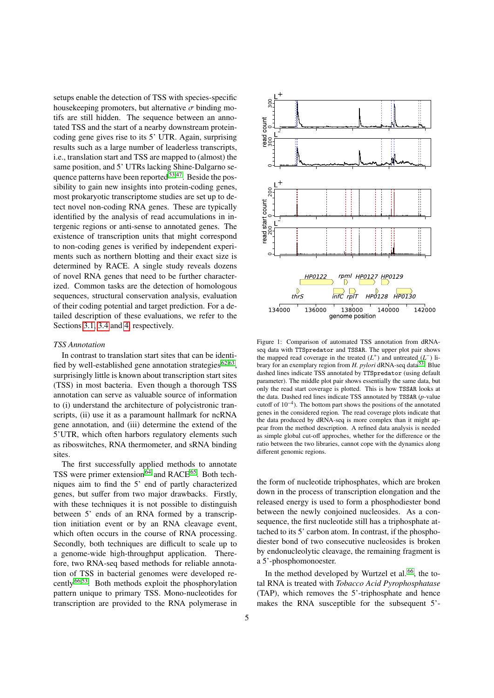setups enable the detection of TSS with species-specific housekeeping promoters, but alternative  $\sigma$  binding motifs are still hidden. The sequence between an annotated TSS and the start of a nearby downstream proteincoding gene gives rise to its 5' UTR. Again, surprising results such as a large number of leaderless transcripts, i.e., translation start and TSS are mapped to (almost) the same position, and 5' UTRs lacking Shine-Dalgarno se-quence patterns have been reported<sup>[53](#page-12-38)[,47](#page-12-32)</sup>. Beside the possibility to gain new insights into protein-coding genes, most prokaryotic transcriptome studies are set up to detect novel non-coding RNA genes. These are typically identified by the analysis of read accumulations in intergenic regions or anti-sense to annotated genes. The existence of transcription units that might correspond to non-coding genes is verified by independent experiments such as northern blotting and their exact size is determined by RACE. A single study reveals dozens of novel RNA genes that need to be further characterized. Common tasks are the detection of homologous sequences, structural conservation analysis, evaluation of their coding potential and target prediction. For a detailed description of these evaluations, we refer to the Sections [3.1,](#page-2-0) [3.4](#page-5-0) and [4,](#page-8-0) respectively.

#### *TSS Annotation*

In contrast to translation start sites that can be identified by well-established gene annotation strategies  $62,63$  $62,63$ , surprisingly little is known about transcription start sites (TSS) in most bacteria. Even though a thorough TSS annotation can serve as valuable source of information to (i) understand the architecture of polycistronic transcripts, (ii) use it as a paramount hallmark for ncRNA gene annotation, and (iii) determine the extend of the 5'UTR, which often harbors regulatory elements such as riboswitches, RNA thermometer, and sRNA binding sites.

The first successfully applied methods to annotate TSS were primer extension<sup>[64](#page-13-10)</sup> and RACE<sup>[65](#page-13-11)</sup>. Both techniques aim to find the 5' end of partly characterized genes, but suffer from two major drawbacks. Firstly, with these techniques it is not possible to distinguish between 5' ends of an RNA formed by a transcription initiation event or by an RNA cleavage event, which often occurs in the course of RNA processing. Secondly, both techniques are difficult to scale up to a genome-wide high-throughput application. Therefore, two RNA-seq based methods for reliable annotation of TSS in bacterial genomes were developed recently[66,](#page-13-12)[53](#page-12-38). Both methods exploit the phosphorylation pattern unique to primary TSS. Mono-nucleotides for transcription are provided to the RNA polymerase in



<span id="page-4-0"></span>Figure 1: Comparison of automated TSS annotation from dRNAseq data with TTSpredator and TSSAR. The upper plot pair shows the mapped read coverage in the treated  $(L^+)$  and untreated  $(L^-)$  library for an exemplary region from *H. pylori* dRNA-seq data [53](#page-12-38). Blue dashed lines indicate TSS annotated by TTSpredator (using default parameter). The middle plot pair shows essentially the same data, but only the read start coverage is plotted. This is how TSSAR looks at the data. Dashed red lines indicate TSS annotated by TSSAR (*p*-value cutoff of 10−<sup>4</sup> ). The bottom part shows the positions of the annotated genes in the considered region. The read coverage plots indicate that the data produced by dRNA-seq is more complex than it might appear from the method description. A refined data analysis is needed as simple global cut-off approches, whether for the difference or the ratio between the two libraries, cannot cope with the dynamics along different genomic regions.

the form of nucleotide triphosphates, which are broken down in the process of transcription elongation and the released energy is used to form a phosphodiester bond between the newly conjoined nucleosides. As a consequence, the first nucleotide still has a triphosphate attached to its 5' carbon atom. In contrast, if the phosphodiester bond of two consecutive nucleosides is broken by endonucleolytic cleavage, the remaining fragment is a 5'-phosphomonoester.

In the method developed by Wurtzel et al.  $66$ , the total RNA is treated with *Tobacco Acid Pyrophosphatase* (TAP), which removes the 5'-triphosphate and hence makes the RNA susceptible for the subsequent 5'-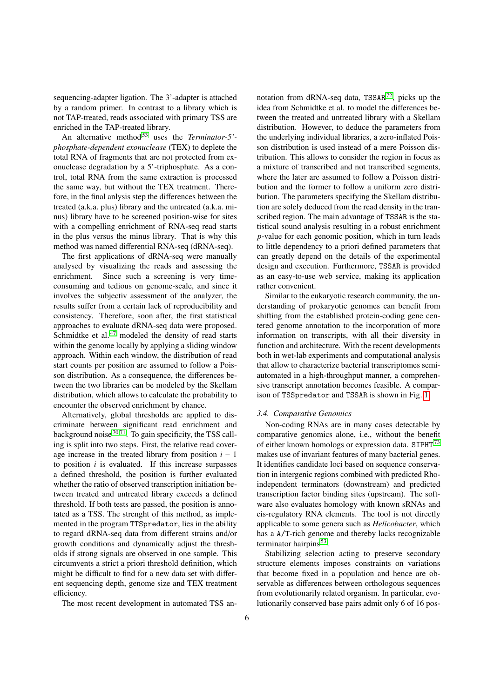sequencing-adapter ligation. The 3'-adapter is attached by a random primer. In contrast to a library which is not TAP-treated, reads associated with primary TSS are enriched in the TAP-treated library.

An alternative method<sup>[53](#page-12-38)</sup> uses the *Terminator-5'phosphate-dependent exonuclease* (TEX) to deplete the total RNA of fragments that are not protected from exonuclease degradation by a 5'-triphosphate. As a control, total RNA from the same extraction is processed the same way, but without the TEX treatment. Therefore, in the final anlysis step the differences between the treated (a.k.a. plus) library and the untreated (a.k.a. minus) library have to be screened position-wise for sites with a compelling enrichment of RNA-seq read starts in the plus versus the minus library. That is why this method was named differential RNA-seq (dRNA-seq).

The first applications of dRNA-seq were manually analysed by visualizing the reads and assessing the enrichment. Since such a screening is very timeconsuming and tedious on genome-scale, and since it involves the subjectiv assessment of the analyzer, the results suffer from a certain lack of reproducibility and consistency. Therefore, soon after, the first statistical approaches to evaluate dRNA-seq data were proposed. Schmidtke et al.<sup>[47](#page-12-32)</sup> modeled the density of read starts within the genome locally by applying a sliding window approach. Within each window, the distribution of read start counts per position are assumed to follow a Poisson distribution. As a consequence, the differences between the two libraries can be modeled by the Skellam distribution, which allows to calculate the probability to encounter the observed enrichment by chance.

Alternatively, global thresholds are applied to discriminate between significant read enrichment and background noise [70](#page-13-13)[,71](#page-13-14). To gain specificity, the TSS calling is split into two steps. First, the relative read coverage increase in the treated library from position *i* − 1 to position *i* is evaluated. If this increase surpasses a defined threshold, the position is further evaluated whether the ratio of observed transcription initiation between treated and untreated library exceeds a defined threshold. If both tests are passed, the position is annotated as a TSS. The strenght of this method, as implemented in the program TTSpredator, lies in the ability to regard dRNA-seq data from different strains and/or growth conditions and dynamically adjust the thresholds if strong signals are observed in one sample. This circumvents a strict a priori threshold definition, which might be difficult to find for a new data set with different sequencing depth, genome size and TEX treatment efficiency.

The most recent development in automated TSS an-

notation from  $dRNA$ -seq data, TSSAR<sup>[72](#page-13-15)</sup>, picks up the idea from Schmidtke et al. to model the differences between the treated and untreated library with a Skellam distribution. However, to deduce the parameters from the underlying individual libraries, a zero-inflated Poisson distribution is used instead of a mere Poisson distribution. This allows to consider the region in focus as a mixture of transcribed and not transcribed segments, where the later are assumed to follow a Poisson distribution and the former to follow a uniform zero distribution. The parameters specifying the Skellam distribution are solely deduced from the read density in the transcribed region. The main advantage of TSSAR is the statistical sound analysis resulting in a robust enrichment *p*-value for each genomic position, which in turn leads to little dependency to a priori defined parameters that can greatly depend on the details of the experimental design and execution. Furthermore, TSSAR is provided as an easy-to-use web service, making its application rather convenient.

Similar to the eukaryotic research community, the understanding of prokaryotic genomes can benefit from shifting from the established protein-coding gene centered genome annotation to the incorporation of more information on transcripts, with all their diversity in function and architecture. With the recent developments both in wet-lab experiments and computational analysis that allow to characterize bacterial transcriptomes semiautomated in a high-throughput manner, a comprehensive transcript annotation becomes feasible. A comparison of TSSpredator and TSSAR is shown in Fig. [1.](#page-4-0)

### <span id="page-5-0"></span>*3.4. Comparative Genomics*

Non-coding RNAs are in many cases detectable by comparative genomics alone, i.e., without the benefit of either known homologs or expression data. SIPHT<sup>[73](#page-13-16)</sup> makes use of invariant features of many bacterial genes. It identifies candidate loci based on sequence conservation in intergenic regions combined with predicted Rhoindependent terminators (downstream) and predicted transcription factor binding sites (upstream). The software also evaluates homology with known sRNAs and cis-regulatory RNA elements. The tool is not directly applicable to some genera such as *Helicobacter*, which has a A/T-rich genome and thereby lacks recognizable terminator hairpins<sup>[53](#page-12-38)</sup>.

Stabilizing selection acting to preserve secondary structure elements imposes constraints on variations that become fixed in a population and hence are observable as differences between orthologous sequences from evolutionarily related organism. In particular, evolutionarily conserved base pairs admit only 6 of 16 pos-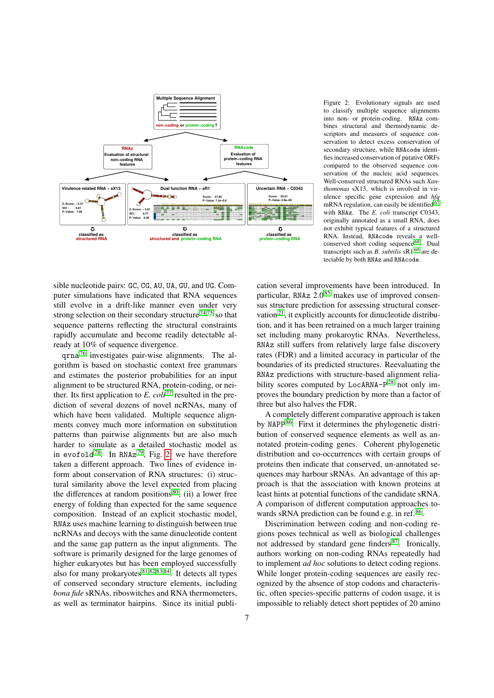

<span id="page-6-0"></span>Figure 2: Evolutionary signals are used to classify multiple sequence alignments into non- or protein-coding. RNAz combines structural and thermodynamic descriptors and measures of sequence conservation to detect excess conservation of secondary structure, while RNAcode identifies increased conservation of putative ORFs compared to the observed sequence conservation of the nucleic acid sequences. Well-conserved structured RNAs such *Xanthomonas* sX13, which is involved in virulence specific gene expression and *hfq* mRNA regulation, can easily be identified  $67$ with RNAz. The *E. coli* transcript C0343. originally annotated as a small RNA, does not exhibit typical features of a structured RNA. Instead, RNAcode reveals a wellconserved short coding sequence [68](#page-13-18). Dual transcripts such as *B. subtilis* sR1 [69](#page-13-19) are detectable by both RNAz and RNAcode.

sible nucleotide pairs: GC, CG, AU, UA, GU, and UG. Computer simulations have indicated that RNA sequences still evolve in a drift-like manner even under very strong selection on their secondary structure  $74,75$  $74,75$  so that sequence patterns reflecting the structural constraints rapidly accumulate and become readily detectable already at 10% of sequence divergence.

qrna[76](#page-13-22) investigates pair-wise alignments. The algorithm is based on stochastic context free grammars and estimates the posterior probabilities for an input alignment to be structured RNA, protein-coding, or neither. Its first application to  $E$ .  $\frac{1}{v^{7}}$  resulted in the prediction of several dozens of novel ncRNAs, many of which have been validated. Multiple sequence alignments convey much more information on substitution patterns than pairwise alignments but are also much harder to simulate as a detailed stochastic model as in evofold<sup>[78](#page-13-24)</sup>. In RNAz<sup>[79](#page-13-25)</sup>, Fig. [2,](#page-6-0) we have therefore taken a different approach. Two lines of evidence inform about conservation of RNA structures: (i) structural similarity above the level expected from placing the differences at random positions  $80$ , (ii) a lower free energy of folding than expected for the same sequence composition. Instead of an explicit stochastic model, RNAz uses machine learning to distinguish between true ncRNAs and decoys with the same dinucleotide content and the same gap pattern as the input alignments. The software is primarily designed for the large genomes of higher eukaryotes but has been employed successfully also for many prokaryotes [81](#page-13-27)[,82,](#page-13-28)[83,](#page-13-29)[84](#page-13-30). It detects all types of conserved secondary structure elements, including *bona fide* sRNAs, riboswitches and RNA thermometers, as well as terminator hairpins. Since its initial publication several improvements have been introduced. In particular, RNAz  $2.0^{85}$  $2.0^{85}$  $2.0^{85}$  makes use of improved consensus structure prediction for assessing structural conser-vation<sup>[21](#page-12-6)</sup>, it explicitly accounts for dinucleotide distribution, and it has been retrained on a much larger training set including many prokaroytic RNAs. Nevertheless, RNAz still suffers from relatively large false discovery rates (FDR) and a limited accuracy in particular of the boundaries of its predicted structures. Reevaluating the RNAz predictions with structure-based alignment reliability scores computed by LocARNA- $P^{28}$  $P^{28}$  $P^{28}$  not only improves the boundary prediction by more than a factor of three but also halves the FDR.

A completely different comparative approach is taken by NAPP $86$ . First it determines the phylogenetic distribution of conserved sequence elements as well as annotated protein-coding genes. Coherent phylogenetic distribution and co-occurrences with certain groups of proteins then indicate that conserved, un-annotated sequences may harbour sRNAs. An advantage of this approach is that the association with known proteins at least hints at potential functions of the candidate sRNA. A comparison of different computation approaches to-wards sRNA prediction can be found e.g. in ref. [86](#page-13-32).

Discrimination between coding and non-coding regions poses technical as well as biological challenges not addressed by standard gene finders [87](#page-13-33). Ironically, authors working on non-coding RNAs repeatedly had to implement *ad hoc* solutions to detect coding regions. While longer protein-coding sequences are easily recognized by the absence of stop codons and characteristic, often species-specific patterns of codon usage, it is impossible to reliably detect short peptides of 20 amino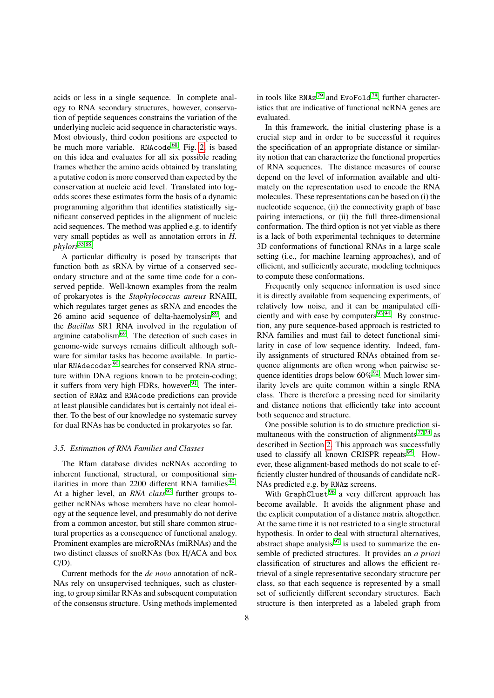acids or less in a single sequence. In complete analogy to RNA secondary structures, however, conservation of peptide sequences constrains the variation of the underlying nucleic acid sequence in characteristic ways. Most obviously, third codon positions are expected to be much more variable. RNAcode<sup>[68](#page-13-18)</sup>, Fig. [2,](#page-6-0) is based on this idea and evaluates for all six possible reading frames whether the amino acids obtained by translating a putative codon is more conserved than expected by the conservation at nucleic acid level. Translated into logodds scores these estimates form the basis of a dynamic programming algorithm that identifies statistically significant conserved peptides in the alignment of nucleic acid sequences. The method was applied e.g. to identify very small peptides as well as annotation errors in *H. phylori* [53](#page-12-38)[,88](#page-13-34) .

A particular difficulty is posed by transcripts that function both as sRNA by virtue of a conserved secondary structure and at the same time code for a conserved peptide. Well-known examples from the realm of prokaryotes is the *Staphylococcus aureus* RNAIII, which regulates target genes as sRNA and encodes the 26 amino acid sequence of delta-haemolysin $89$ , and the *Bacillus* SR1 RNA involved in the regulation of arginine catabolism $69$ . The detection of such cases in genome-wide surveys remains difficult although software for similar tasks has become available. In particular RNAdecode $r^{90}$  $r^{90}$  $r^{90}$  searches for conserved RNA structure within DNA regions known to be protein-coding; it suffers from very high FDRs, however<sup>[91](#page-14-1)</sup>. The intersection of RNAz and RNAcode predictions can provide at least plausible candidates but is certainly not ideal either. To the best of our knowledge no systematic survey for dual RNAs has be conducted in prokaryotes so far.

### *3.5. Estimation of RNA Families and Classes*

The Rfam database divides ncRNAs according to inherent functional, structural, or compositional sim-ilarities in more than 2200 different RNA families<sup>[40](#page-12-25)</sup>. At a higher level, an *RNA class* [92](#page-14-2) further groups together ncRNAs whose members have no clear homology at the sequence level, and presumably do not derive from a common ancestor, but still share common structural properties as a consequence of functional analogy. Prominent examples are microRNAs (miRNAs) and the two distinct classes of snoRNAs (box H/ACA and box  $C/D$ ).

Current methods for the *de novo* annotation of ncR-NAs rely on unsupervised techniques, such as clustering, to group similar RNAs and subsequent computation of the consensus structure. Using methods implemented

in tools like RNAz<sup>[79](#page-13-25)</sup> and EvoFold<sup>[78](#page-13-24)</sup>, further characteristics that are indicative of functional ncRNA genes are evaluated.

In this framework, the initial clustering phase is a crucial step and in order to be successful it requires the specification of an appropriate distance or similarity notion that can characterize the functional properties of RNA sequences. The distance measures of course depend on the level of information available and ultimately on the representation used to encode the RNA molecules. These representations can be based on (i) the nucleotide sequence, (ii) the connectivity graph of base pairing interactions, or (ii) the full three-dimensional conformation. The third option is not yet viable as there is a lack of both experimental techniques to determine 3D conformations of functional RNAs in a large scale setting (i.e., for machine learning approaches), and of efficient, and sufficiently accurate, modeling techniques to compute these conformations.

Frequently only sequence information is used since it is directly available from sequencing experiments, of relatively low noise, and it can be manipulated efficiently and with ease by computers  $93,94$  $93,94$ . By construction, any pure sequence-based approach is restricted to RNA families and must fail to detect functional similarity in case of low sequence identity. Indeed, family assignments of structured RNAs obtained from sequence alignments are often wrong when pairwise sequence identities drops below  $60\%$ <sup>[92](#page-14-2)</sup>. Much lower similarity levels are quite common within a single RNA class. There is therefore a pressing need for similarity and distance notions that efficiently take into account both sequence and structure.

One possible solution is to do structure prediction simultaneous with the construction of alignments  $27.24$  $27.24$  as described in Section [2.](#page-1-0) This approach was successfully used to classify all known CRISPR repeats<sup>[95](#page-14-5)</sup>. However, these alignment-based methods do not scale to efficiently cluster hundred of thousands of candidate ncR-NAs predicted e.g. by RNAz screens.

With GraphClust<sup>[96](#page-14-6)</sup> a very different approach has become available. It avoids the alignment phase and the explicit computation of a distance matrix altogether. At the same time it is not restricted to a single structural hypothesis. In order to deal with structural alternatives, abstract shape analysis  $97$  is used to summarize the ensemble of predicted structures. It provides an *a priori* classification of structures and allows the efficient retrieval of a single representative secondary structure per class, so that each sequence is represented by a small set of sufficiently different secondary structures. Each structure is then interpreted as a labeled graph from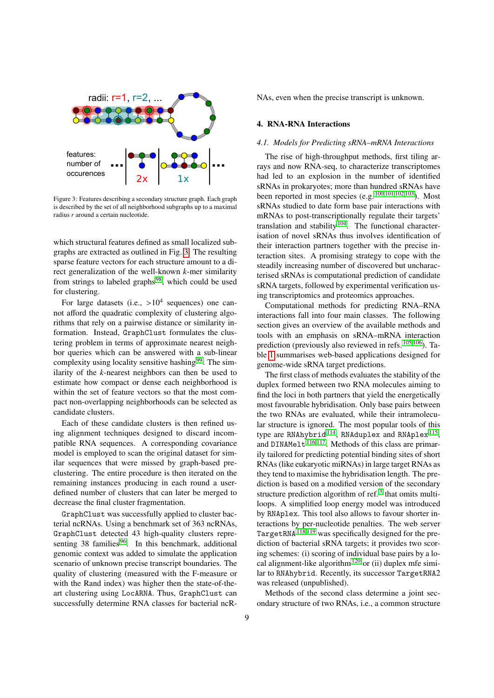

<span id="page-8-1"></span>Figure 3: Features describing a secondary structure graph. Each graph is described by the set of all neighborhood subgraphs up to a maximal radius *r* around a certain nucleotide.

which structural features defined as small localized subgraphs are extracted as outlined in Fig. [3.](#page-8-1) The resulting sparse feature vectors for each structure amount to a direct generalization of the well-known *k*-mer similarity from strings to labeled graphs  $98$ , which could be used for clustering.

For large datasets (i.e.,  $>10^4$  sequences) one can-<br>t afford the quadratic complexity of clustering algonot afford the quadratic complexity of clustering algorithms that rely on a pairwise distance or similarity information. Instead, GraphClust formulates the clustering problem in terms of approximate nearest neighbor queries which can be answered with a sub-linear complexity using locality sensitive hashing  $99$ . The similarity of the *k*-nearest neighbors can then be used to estimate how compact or dense each neighborhood is within the set of feature vectors so that the most compact non-overlapping neighborhoods can be selected as candidate clusters.

Each of these candidate clusters is then refined using alignment techniques designed to discard incompatible RNA sequences. A corresponding covariance model is employed to scan the original dataset for similar sequences that were missed by graph-based preclustering. The entire procedure is then iterated on the remaining instances producing in each round a userdefined number of clusters that can later be merged to decrease the final cluster fragmentation.

GraphClust was successfully applied to cluster bacterial ncRNAs. Using a benchmark set of 363 ncRNAs, GraphClust detected 43 high-quality clusters repre-senting 38 families <sup>[96](#page-14-6)</sup>. In this benchmark, additional genomic context was added to simulate the application scenario of unknown precise transcript boundaries. The quality of clustering (measured with the F-measure or with the Rand index) was higher then the state-of-theart clustering using LocARNA. Thus, GraphClust can successfully determine RNA classes for bacterial ncR-

NAs, even when the precise transcript is unknown.

# <span id="page-8-0"></span>4. RNA-RNA Interactions

#### *4.1. Models for Predicting sRNA–mRNA Interactions*

The rise of high-throughput methods, first tiling arrays and now RNA-seq, to characterize transcriptomes had led to an explosion in the number of identified sRNAs in prokaryotes; more than hundred sRNAs have been reported in most species (e.g. [100](#page-14-10)[,101,](#page-14-11)[102](#page-14-12)[,103](#page-14-13)). Most sRNAs studied to date form base pair interactions with mRNAs to post-transcriptionally regulate their targets' translation and stability<sup>[104](#page-14-14)</sup>. The functional characterisation of novel sRNAs thus involves identification of their interaction partners together with the precise interaction sites. A promising strategy to cope with the steadily increasing number of discovered but uncharacterised sRNAs is computational prediction of candidate sRNA targets, followed by experimental verification using transcriptomics and proteomics approaches.

Computational methods for predicting RNA–RNA interactions fall into four main classes. The following section gives an overview of the available methods and tools with an emphasis on sRNA–mRNA interaction prediction (previously also reviewed in refs.  $105, 106$  $105, 106$ ). Table [1](#page-9-0) summarises web-based applications designed for genome-wide sRNA target predictions.

The first class of methods evaluates the stability of the duplex formed between two RNA molecules aiming to find the loci in both partners that yield the energetically most favourable hybridisation. Only base pairs between the two RNAs are evaluated, while their intramolecular structure is ignored. The most popular tools of this type are RNAhybrid<sup>[114](#page-14-17)</sup>, RNAduplex and RNAplex<sup>[115](#page-14-18)</sup>, and DINAMelt<sup>[116,](#page-14-19)[117](#page-14-20)</sup>. Methods of this class are primarily tailored for predicting potential binding sites of short RNAs (like eukaryotic miRNAs) in large target RNAs as they tend to maximise the hybridisation length. The prediction is based on a modified version of the secondary structure prediction algorithm of ref. $3$  that omits multiloops. A simplified loop energy model was introduced by RNAplex. This tool also allows to favour shorter interactions by per-nucleotide penalties. The web server TargetRNA $^{11\bar{8},119}$  $^{11\bar{8},119}$  $^{11\bar{8},119}$  was specifically designed for the prediction of bacterial sRNA targets; it provides two scoring schemes: (i) scoring of individual base pairs by a lo-cal alignment-like algorithm<sup>[120](#page-14-23)</sup> or (ii) duplex mfe similar to RNAhybrid. Recently, its successor TargetRNA2 was released (unpublished).

Methods of the second class determine a joint secondary structure of two RNAs, i.e., a common structure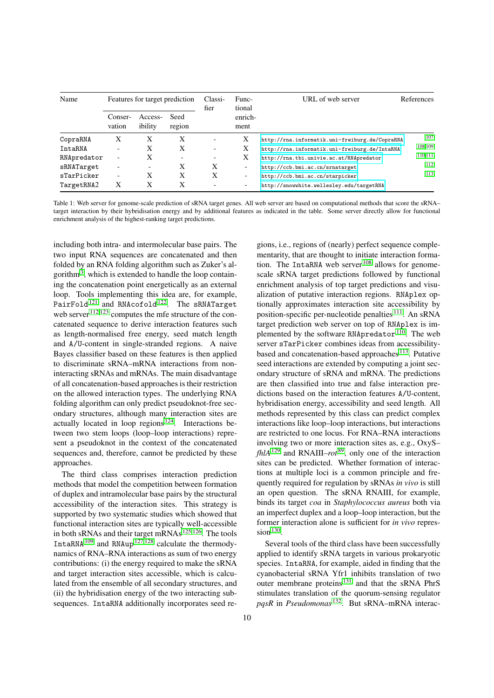| Name        | Features for target prediction |                          |                          | Classi-<br>fier          | Func-<br>tional          | URL of web server                              | References |
|-------------|--------------------------------|--------------------------|--------------------------|--------------------------|--------------------------|------------------------------------------------|------------|
|             | Conser-<br>vation              | Access-<br>ibility       | Seed<br>region           |                          | enrich-<br>ment          |                                                |            |
| CopraRNA    | X                              | Χ                        | X                        | $\overline{a}$           | Χ                        | http://rna.informatik.uni-freiburg.de/CopraRNA | 107        |
| IntaRNA     |                                | X                        | X                        | $\overline{a}$           | X                        | http://rna.informatik.uni-freiburg.de/IntaRNA  | 108,109    |
| RNApredator | $\overline{\phantom{0}}$       | X                        | $\overline{\phantom{a}}$ | $\overline{\phantom{0}}$ | X                        | http://rna.tbi.univie.ac.at/RNApredator        | 110,111    |
| sRNATarget  | -                              | $\overline{\phantom{0}}$ | X                        | X                        | $\overline{\phantom{a}}$ | http://ccb.bmi.ac.cn/srnatarget                | 112        |
| sTarPicker  |                                | X                        | X                        | X                        |                          | http://ccb.bmi.ac.cn/starpicker                | 113        |
| TargetRNA2  | X                              | X                        | X                        | -                        | $\overline{\phantom{a}}$ | http://snowwhite.wellesley.edu/targetRNA       |            |

<span id="page-9-0"></span>Table 1: Web server for genome-scale prediction of sRNA target genes. All web server are based on computational methods that score the sRNA– target interaction by their hybridisation energy and by additional features as indicated in the table. Some server directly allow for functional enrichment analysis of the highest-ranking target predictions.

including both intra- and intermolecular base pairs. The two input RNA sequences are concatenated and then folded by an RNA folding algorithm such as Zuker's al-gorithm<sup>[3](#page-11-2)</sup>, which is extended to handle the loop containing the concatenation point energetically as an external loop. Tools implementing this idea are, for example, PairFold<sup>[121](#page-14-31)</sup> and RNAcofold<sup>[122](#page-14-32)</sup>. The sRNATarget web server <sup>[112,](#page-14-29)[123](#page-14-33)</sup> computes the mfe structure of the concatenated sequence to derive interaction features such as length-normalised free energy, seed match length and A/U-content in single-stranded regions. A naive Bayes classifier based on these features is then applied to discriminate sRNA–mRNA interactions from noninteracting sRNAs and mRNAs. The main disadvantage of all concatenation-based approaches is their restriction on the allowed interaction types. The underlying RNA folding algorithm can only predict pseudoknot-free secondary structures, although many interaction sites are actually located in loop regions  $124$ . Interactions between two stem loops (loop–loop interactions) represent a pseudoknot in the context of the concatenated sequences and, therefore, cannot be predicted by these approaches.

The third class comprises interaction prediction methods that model the competition between formation of duplex and intramolecular base pairs by the structural accessibility of the interaction sites. This strategy is supported by two systematic studies which showed that functional interaction sites are typically well-accessible in both sRNAs and their target mRNAs [125](#page-14-35)[,126](#page-14-36). The tools IntaRNA<sup>[109](#page-14-26)</sup> and RNAup<sup>[127,](#page-15-0)[128](#page-15-1)</sup> calculate the thermodynamics of RNA–RNA interactions as sum of two energy contributions: (i) the energy required to make the sRNA and target interaction sites accessible, which is calculated from the ensemble of all secondary structures, and (ii) the hybridisation energy of the two interacting subsequences. IntaRNA additionally incorporates seed re-

gions, i.e., regions of (nearly) perfect sequence complementarity, that are thought to initiate interaction formation. The IntaRNA web server  $108$  allows for genomescale sRNA target predictions followed by functional enrichment analysis of top target predictions and visualization of putative interaction regions. RNAplex optionally approximates interaction site accessibility by position-specific per-nucleotide penalties [111](#page-14-28). An sRNA target prediction web server on top of RNAplex is implemented by the software RNApredator $1^{10}$ . The web server sTarPicker combines ideas from accessibilitybased and concatenation-based approaches [113](#page-14-30). Putative seed interactions are extended by computing a joint secondary structure of sRNA and mRNA. The predictions are then classified into true and false interaction predictions based on the interaction features A/U-content, hybridisation energy, accessibility and seed length. All methods represented by this class can predict complex interactions like loop–loop interactions, but interactions are restricted to one locus. For RNA–RNA interactions involving two or more interaction sites as, e.g., OxyS– *fhlA*[129](#page-15-2) and RNAIII–*rot* [89](#page-13-35), only one of the interaction sites can be predicted. Whether formation of interactions at multiple loci is a common principle and frequently required for regulation by sRNAs *in vivo* is still an open question. The sRNA RNAIII, for example, binds its target *coa* in *Staphylococcus aureus* both via an imperfect duplex and a loop–loop interaction, but the former interaction alone is sufficient for *in vivo* repres $sion$ <sup>[130](#page-15-3)</sup>.

Several tools of the third class have been successfully applied to identify sRNA targets in various prokaryotic species. IntaRNA, for example, aided in finding that the cyanobacterial sRNA Yfr1 inhibits translation of two outer membrane proteins  $131$  and that the sRNA PhrS stimulates translation of the quorum-sensing regulator *pqsR* in *Pseudomonas* [132](#page-15-5). But sRNA–mRNA interac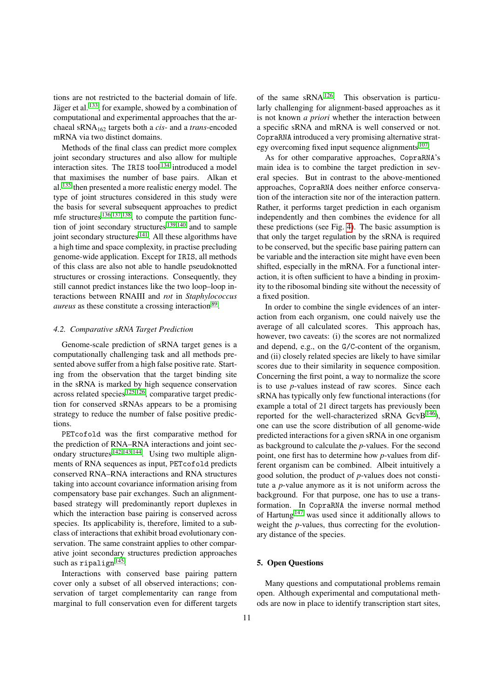tions are not restricted to the bacterial domain of life. Jäger et al.<sup>[133](#page-15-6)</sup>, for example, showed by a combination of computational and experimental approaches that the archaeal sRNA<sup>162</sup> targets both a *cis*- and a *trans*-encoded mRNA via two distinct domains.

Methods of the final class can predict more complex joint secondary structures and also allow for multiple interaction sites. The IRIS tool<sup>[134](#page-15-7)</sup> introduced a model that maximises the number of base pairs. Alkan et al. [135](#page-15-8) then presented a more realistic energy model. The type of joint structures considered in this study were the basis for several subsequent approaches to predict mfe structures [136](#page-15-9)[,137,](#page-15-10)[138](#page-15-11), to compute the partition func-tion of joint secondary structures<sup>[139](#page-15-12)[,140](#page-15-13)</sup> and to sample joint secondary structures <sup>[141](#page-15-14)</sup>. All these algorithms have a high time and space complexity, in practise precluding genome-wide application. Except for IRIS, all methods of this class are also not able to handle pseudoknotted structures or crossing interactions. Consequently, they still cannot predict instances like the two loop–loop interactions between RNAIII and *rot* in *Staphylococcus* aureus as these constitute a crossing interaction<sup>[89](#page-13-35)</sup>.

#### *4.2. Comparative sRNA Target Prediction*

Genome-scale prediction of sRNA target genes is a computationally challenging task and all methods presented above suffer from a high false positive rate. Starting from the observation that the target binding site in the sRNA is marked by high sequence conservation across related species  $125,126$  $125,126$ , comparative target prediction for conserved sRNAs appears to be a promising strategy to reduce the number of false positive predictions.

PETcofold was the first comparative method for the prediction of RNA–RNA interactions and joint secondary structures [142,](#page-15-15)[143,](#page-15-16)[144](#page-15-17). Using two multiple alignments of RNA sequences as input, PETcofold predicts conserved RNA–RNA interactions and RNA structures taking into account covariance information arising from compensatory base pair exchanges. Such an alignmentbased strategy will predominantly report duplexes in which the interaction base pairing is conserved across species. Its applicability is, therefore, limited to a subclass of interactions that exhibit broad evolutionary conservation. The same constraint applies to other comparative joint secondary structures prediction approaches such as ripalign  $145$ .

Interactions with conserved base pairing pattern cover only a subset of all observed interactions; conservation of target complementarity can range from marginal to full conservation even for different targets

of the same sRNA<sup>[126](#page-14-36)</sup>. This observation is particularly challenging for alignment-based approaches as it is not known *a priori* whether the interaction between a specific sRNA and mRNA is well conserved or not. CopraRNA introduced a very promising alternative strat-egy overcoming fixed input sequence alignments <sup>[107](#page-14-24)</sup>.

As for other comparative approaches, CopraRNA's main idea is to combine the target prediction in several species. But in contrast to the above-mentioned approaches, CopraRNA does neither enforce conservation of the interaction site nor of the interaction pattern. Rather, it performs target prediction in each organism independently and then combines the evidence for all these predictions (see Fig. [4\)](#page-11-14). The basic assumption is that only the target regulation by the sRNA is required to be conserved, but the specific base pairing pattern can be variable and the interaction site might have even been shifted, especially in the mRNA. For a functional interaction, it is often sufficient to have a binding in proximity to the ribosomal binding site without the necessity of a fixed position.

In order to combine the single evidences of an interaction from each organism, one could naively use the average of all calculated scores. This approach has, however, two caveats: (i) the scores are not normalized and depend, e.g., on the G/C-content of the organism, and (ii) closely related species are likely to have similar scores due to their similarity in sequence composition. Concerning the first point, a way to normalize the score is to use *p*-values instead of raw scores. Since each sRNA has typically only few functional interactions (for example a total of 21 direct targets has previously been reported for the well-characterized sRNA GcvB<sup>[146](#page-15-19)</sup>), one can use the score distribution of all genome-wide predicted interactions for a given sRNA in one organism as background to calculate the *p*-values. For the second point, one first has to determine how *p*-values from different organism can be combined. Albeit intuitively a good solution, the product of *p*-values does not constitute a *p*-value anymore as it is not uniform across the background. For that purpose, one has to use a transformation. In CopraRNA the inverse normal method of Hartung<sup>[147](#page-15-20)</sup> was used since it additionally allows to weight the *p*-values, thus correcting for the evolutionary distance of the species.

# 5. Open Questions

Many questions and computational problems remain open. Although experimental and computational methods are now in place to identify transcription start sites,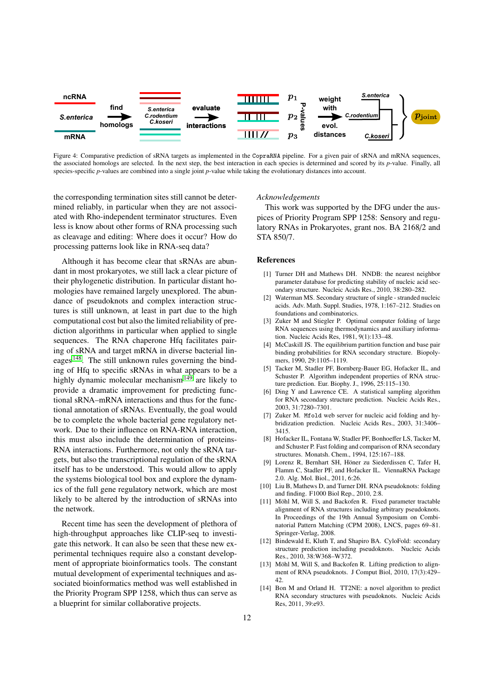

<span id="page-11-14"></span>Figure 4: Comparative prediction of sRNA targets as implemented in the CopraRNA pipeline. For a given pair of sRNA and mRNA sequences, the associated homologs are selected. In the next step, the best interaction in each species is determined and scored by its *p*-value. Finally, all species-specific *p*-values are combined into a single joint *p*-value while taking the evolutionary distances into account.

the corresponding termination sites still cannot be determined reliably, in particular when they are not associated with Rho-independent terminator structures. Even less is know about other forms of RNA processing such as cleavage and editing: Where does it occur? How do processing patterns look like in RNA-seq data?

Although it has become clear that sRNAs are abundant in most prokaryotes, we still lack a clear picture of their phylogenetic distribution. In particular distant homologies have remained largely unexplored. The abundance of pseudoknots and complex interaction structures is still unknown, at least in part due to the high computational cost but also the limited reliability of prediction algorithms in particular when applied to single sequences. The RNA chaperone Hfq facilitates pairing of sRNA and target mRNA in diverse bacterial lineages [148](#page-15-21). The still unknown rules governing the binding of Hfq to specific sRNAs in what appears to be a highly dynamic molecular mechanism $149$  are likely to provide a dramatic improvement for predicting functional sRNA–mRNA interactions and thus for the functional annotation of sRNAs. Eventually, the goal would be to complete the whole bacterial gene regulatory network. Due to their influence on RNA-RNA interaction, this must also include the determination of proteins-RNA interactions. Furthermore, not only the sRNA targets, but also the transcriptional regulation of the sRNA itself has to be understood. This would allow to apply the systems biological tool box and explore the dynamics of the full gene regulatory network, which are most likely to be altered by the introduction of sRNAs into the network.

Recent time has seen the development of plethora of high-throughput approaches like CLIP-seq to investigate this network. It can also be seen that these new experimental techniques require also a constant development of appropriate bioinformatics tools. The constant mutual development of experimental techniques and associated bioinformatics method was well established in the Priority Program SPP 1258, which thus can serve as a blueprint for similar collaborative projects.

#### *Acknowledgements*

This work was supported by the DFG under the auspices of Priority Program SPP 1258: Sensory and regulatory RNAs in Prokaryotes, grant nos. BA 2168/2 and STA 850/7.

#### References

- <span id="page-11-0"></span>[1] Turner DH and Mathews DH. NNDB: the nearest neighbor parameter database for predicting stability of nucleic acid secondary structure. Nucleic Acids Res., 2010, 38:280–282.
- <span id="page-11-1"></span>[2] Waterman MS. Secondary structure of single - stranded nucleic acids. Adv. Math. Suppl. Studies, 1978, 1:167–212. Studies on foundations and combinatorics.
- <span id="page-11-2"></span>[3] Zuker M and Stiegler P. Optimal computer folding of large RNA sequences using thermodynamics and auxiliary information. Nucleic Acids Res, 1981, 9(1):133–48.
- <span id="page-11-3"></span>[4] McCaskill JS. The equilibrium partition function and base pair binding probabilities for RNA secondary structure. Biopolymers, 1990, 29:1105-1119.
- <span id="page-11-4"></span>[5] Tacker M, Stadler PF, Bornberg-Bauer EG, Hofacker IL, and Schuster P. Algorithm independent properties of RNA structure prediction. Eur. Biophy. J., 1996, 25:115–130.
- <span id="page-11-5"></span>[6] Ding Y and Lawrence CE. A statistical sampling algorithm for RNA secondary structure prediction. Nucleic Acids Res., 2003, 31:7280–7301.
- <span id="page-11-6"></span>[7] Zuker M. Mfold web server for nucleic acid folding and hybridization prediction. Nucleic Acids Res., 2003, 31:3406– 3415.
- <span id="page-11-7"></span>[8] Hofacker IL, Fontana W, Stadler PF, Bonhoeffer LS, Tacker M, and Schuster P. Fast folding and comparison of RNA secondary structures. Monatsh. Chem., 1994, 125:167–188.
- <span id="page-11-8"></span>[9] Lorenz R, Bernhart SH, Höner zu Siederdissen C, Tafer H, Flamm C, Stadler PF, and Hofacker IL. ViennaRNA Package 2.0. Alg. Mol. Biol., 2011, 6:26.
- <span id="page-11-9"></span>[10] Liu B, Mathews D, and Turner DH. RNA pseudoknots: folding and finding. F1000 Biol Rep., 2010, 2:8.
- <span id="page-11-10"></span>[11] Möhl M, Will S, and Backofen R. Fixed parameter tractable alignment of RNA structures including arbitrary pseudoknots. In Proceedings of the 19th Annual Symposium on Combinatorial Pattern Matching (CPM 2008), LNCS, pages 69–81. Springer-Verlag, 2008.
- <span id="page-11-11"></span>[12] Bindewald E, Kluth T, and Shapiro BA. CyloFold: secondary structure prediction including pseudoknots. Nucleic Acids Res., 2010, 38:W368–W372.
- <span id="page-11-12"></span>[13] Möhl M, Will S, and Backofen R. Lifting prediction to alignment of RNA pseudoknots. J Comput Biol, 2010, 17(3):429– 42.
- <span id="page-11-13"></span>[14] Bon M and Orland H. TT2NE: a novel algorithm to predict RNA secondary structures with pseudoknots. Nucleic Acids Res, 2011, 39:e93.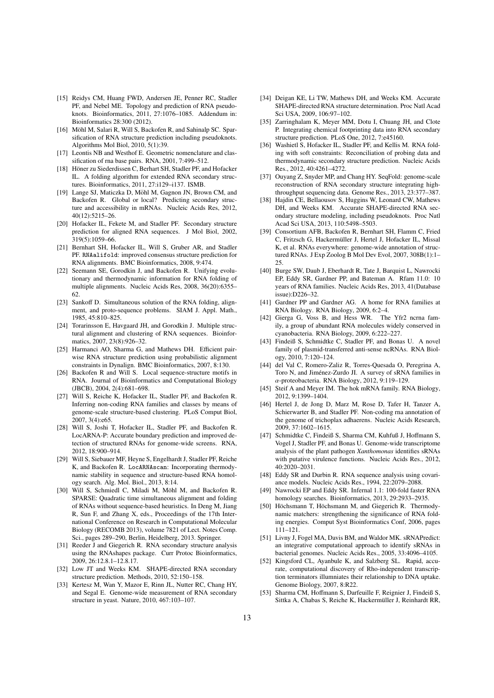- <span id="page-12-0"></span>[15] Reidys CM, Huang FWD, Andersen JE, Penner RC, Stadler PF, and Nebel ME. Topology and prediction of RNA pseudoknots. Bioinformatics, 2011, 27:1076–1085. Addendum in: Bioinformatics 28:300 (2012).
- <span id="page-12-1"></span>[16] Möhl M, Salari R, Will S, Backofen R, and Sahinalp SC. Sparsification of RNA structure prediction including pseudoknots. Algorithms Mol Biol, 2010, 5(1):39.
- <span id="page-12-2"></span>[17] Leontis NB and Westhof E. Geometric nomenclature and classification of rna base pairs. RNA, 2001, 7:499–512.
- <span id="page-12-3"></span>[18] Höner zu Siederdissen C, Berhart SH, Stadler PF, and Hofacker IL. A folding algorithm for extended RNA secondary structures. Bioinformatics, 2011, 27:i129–i137. ISMB.
- <span id="page-12-4"></span>[19] Lange SJ, Maticzka D, Möhl M, Gagnon JN, Brown CM, and Backofen R. Global or local? Predicting secondary structure and accessibility in mRNAs. Nucleic Acids Res, 2012, 40(12):5215–26.
- <span id="page-12-5"></span>[20] Hofacker IL, Fekete M, and Stadler PF. Secondary structure prediction for aligned RNA sequences. J Mol Biol, 2002, 319(5):1059–66.
- <span id="page-12-6"></span>[21] Bernhart SH, Hofacker IL, Will S, Gruber AR, and Stadler PF. RNAalifold: improved consensus structure prediction for RNA alignments. BMC Bioinformatics, 2008, 9:474.
- <span id="page-12-7"></span>[22] Seemann SE, Gorodkin J, and Backofen R. Unifying evolutionary and thermodynamic information for RNA folding of multiple alignments. Nucleic Acids Res, 2008, 36(20):6355– 62.
- <span id="page-12-8"></span>[23] Sankoff D. Simultaneous solution of the RNA folding, alignment, and proto-sequence problems. SIAM J. Appl. Math., 1985, 45:810–825.
- <span id="page-12-9"></span>[24] Torarinsson E, Havgaard JH, and Gorodkin J. Multiple structural alignment and clustering of RNA sequences. Bioinformatics, 2007, 23(8):926–32.
- <span id="page-12-10"></span>[25] Harmanci AO, Sharma G, and Mathews DH. Efficient pairwise RNA structure prediction using probabilistic alignment constraints in Dynalign. BMC Bioinformatics, 2007, 8:130.
- <span id="page-12-11"></span>[26] Backofen R and Will S. Local sequence-structure motifs in RNA. Journal of Bioinformatics and Computational Biology (JBCB), 2004, 2(4):681–698.
- <span id="page-12-12"></span>[27] Will S, Reiche K, Hofacker IL, Stadler PF, and Backofen R. Inferring non-coding RNA families and classes by means of genome-scale structure-based clustering. PLoS Comput Biol, 2007, 3(4):e65.
- <span id="page-12-13"></span>[28] Will S, Joshi T, Hofacker IL, Stadler PF, and Backofen R. LocARNA-P: Accurate boundary prediction and improved detection of structured RNAs for genome-wide screens. RNA, 2012, 18:900–914.
- <span id="page-12-14"></span>[29] Will S, Siebauer MF, Heyne S, Engelhardt J, Stadler PF, Reiche K, and Backofen R. LocARNAscan: Incorporating thermodynamic stability in sequence and structure-based RNA homology search. Alg. Mol. Biol., 2013, 8:14.
- <span id="page-12-15"></span>[30] Will S, Schmiedl C, Miladi M, Möhl M, and Backofen R. SPARSE: Quadratic time simultaneous alignment and folding of RNAs without sequence-based heuristics. In Deng M, Jiang R, Sun F, and Zhang X, eds., Proceedings of the 17th International Conference on Research in Computational Molecular Biology (RECOMB 2013), volume 7821 of Lect. Notes Comp. Sci., pages 289–290, Berlin, Heidelberg, 2013. Springer.
- <span id="page-12-16"></span>[31] Reeder J and Giegerich R. RNA secondary structure analysis using the RNAshapes package. Curr Protoc Bioinformatics, 2009, 26:12.8.1–12.8.17.
- <span id="page-12-17"></span>[32] Low JT and Weeks KM. SHAPE-directed RNA secondary structure prediction. Methods, 2010, 52:150–158.
- <span id="page-12-18"></span>[33] Kertesz M, Wan Y, Mazor E, Rinn JL, Nutter RC, Chang HY, and Segal E. Genome-wide measurement of RNA secondary structure in yeast. Nature, 2010, 467:103–107.
- <span id="page-12-19"></span>[34] Deigan KE, Li TW, Mathews DH, and Weeks KM. Accurate SHAPE-directed RNA structure determination. Proc Natl Acad Sci USA, 2009, 106:97–102.
- <span id="page-12-20"></span>[35] Zarringhalam K, Meyer MM, Dotu I, Chuang JH, and Clote P. Integrating chemical footprinting data into RNA secondary structure prediction. PLoS One, 2012, 7:e45160.
- <span id="page-12-21"></span>[36] Washietl S, Hofacker IL, Stadler PF, and Kellis M. RNA folding with soft constraints: Reconciliation of probing data and thermodynamic secondary structure prediction. Nucleic Acids Res., 2012, 40:4261–4272.
- <span id="page-12-22"></span>[37] Ouyang Z, Snyder MP, and Chang HY. SeqFold: genome-scale reconstruction of RNA secondary structure integrating highthroughput sequencing data. Genome Res., 2013, 23:377–387.
- <span id="page-12-23"></span>[38] Hajdin CE, Bellaousov S, Huggins W, Leonard CW, Mathews DH, and Weeks KM. Accurate SHAPE-directed RNA secondary structure modeling, including pseudoknots. Proc Natl Acad Sci USA, 2013, 110:5498–5503.
- <span id="page-12-24"></span>[39] Consortium AFB, Backofen R, Bernhart SH, Flamm C, Fried C, Fritzsch G, Hackermuller J, Hertel J, Hofacker IL, Missal ¨ K, et al. RNAs everywhere: genome-wide annotation of structured RNAs. J Exp Zoolog B Mol Dev Evol, 2007, 308B(1):1– 25.
- <span id="page-12-25"></span>[40] Burge SW, Daub J, Eberhardt R, Tate J, Barquist L, Nawrocki EP, Eddy SR, Gardner PP, and Bateman A. Rfam 11.0: 10 years of RNA families. Nucleic Acids Res, 2013, 41(Database issue):D226–32.
- <span id="page-12-26"></span>[41] Gardner PP and Gardner AG. A home for RNA families at RNA Biology. RNA Biology, 2009, 6:2–4.
- <span id="page-12-27"></span>[42] Gierga G, Voss B, and Hess WR. The Yfr2 ncrna family, a group of abundant RNA molecules widely conserved in cyanobacteria. RNA Biology, 2009, 6:222–227.
- <span id="page-12-28"></span>[43] Findeiß S, Schmidtke C, Stadler PF, and Bonas U. A novel family of plasmid-transferred anti-sense ncRNAs. RNA Biology, 2010, 7:120–124.
- <span id="page-12-29"></span>[44] del Val C, Romero-Zaliz R, Torres-Quesada O, Peregrina A, Toro N, and Jiménez-Zurdo JI. A survey of sRNA families in α-proteobacteria. RNA Biology, 2012, 9:119–129.
- <span id="page-12-30"></span>[45] Steif A and Meyer IM. The hok mRNA family. RNA Biology, 2012, 9:1399–1404.
- <span id="page-12-31"></span>[46] Hertel J, de Jong D, Marz M, Rose D, Tafer H, Tanzer A, Schierwarter B, and Stadler PF. Non-coding rna annotation of the genome of trichoplax adhaerens. Nucleic Acids Research, 2009, 37:1602–1615.
- <span id="page-12-32"></span>[47] Schmidtke C, Findeiß S, Sharma CM, Kuhfuß J, Hoffmann S, Vogel J, Stadler PF, and Bonas U. Genome-wide transcriptome analysis of the plant pathogen *Xanthomonas* identifies sRNAs with putative virulence functions. Nucleic Acids Res., 2012, 40:2020–2031.
- <span id="page-12-33"></span>[48] Eddy SR and Durbin R. RNA sequence analysis using covariance models. Nucleic Acids Res., 1994, 22:2079–2088.
- <span id="page-12-34"></span>[49] Nawrocki EP and Eddy SR. Infernal 1.1: 100-fold faster RNA homology searches. Bioinformatics, 2013, 29:2933–2935.
- <span id="page-12-35"></span>[50] Höchsmann T, Höchsmann M, and Giegerich R. Thermodynamic matchers: strengthening the significance of RNA folding energies. Comput Syst Bioinformatics Conf, 2006, pages 111–121.
- <span id="page-12-36"></span>[51] Livny J, Fogel MA, Davis BM, and Waldor MK. sRNAPredict: an integrative computational approach to identify sRNAs in bacterial genomes. Nucleic Acids Res., 2005, 33:4096–4105.
- <span id="page-12-37"></span>[52] Kingsford CL, Ayanbule K, and Salzberg SL. Rapid, accurate, computational discovery of Rho-independent transcription terminators illumniates their relationship to DNA uptake. Genome Biology, 2007, 8:R22.
- <span id="page-12-38"></span>[53] Sharma CM, Hoffmann S, Darfeuille F, Reignier J, Findeiß S, Sittka A, Chabas S, Reiche K, Hackermüller J, Reinhardt RR,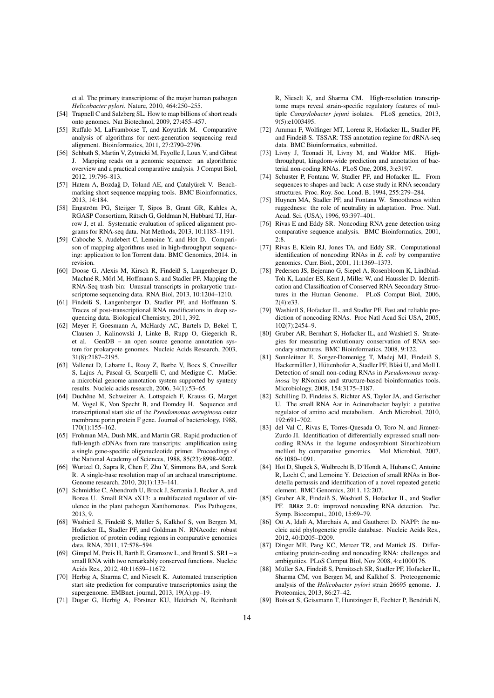et al. The primary transcriptome of the major human pathogen *Helicobacter pylori*. Nature, 2010, 464:250–255.

- <span id="page-13-0"></span>[54] Trapnell C and Salzberg SL. How to map billions of short reads onto genomes. Nat Biotechnol, 2009, 27:455–457.
- <span id="page-13-1"></span>[55] Ruffalo M, LaFramboise T, and Koyutürk M. Comparative analysis of algorithms for next-generation sequencing read alignment. Bioinformatics, 2011, 27:2790–2796.
- <span id="page-13-2"></span>[56] Schbath S, Martin V, Zytnicki M, Fayolle J, Loux V, and Gibrat J. Mapping reads on a genomic sequence: an algorithmic overview and a practical comparative analysis. J Comput Biol, 2012, 19:796–813.
- <span id="page-13-3"></span>[57] Hatem A, Bozdağ D, Toland AE, and Catalyürek V. Benchmarking short sequence mapping tools. BMC Bioinformatics, 2013, 14:184.
- <span id="page-13-4"></span>[58] Engström PG, Steijger T, Sipos B, Grant GR, Kahles A, RGASP Consortium, Rätsch G, Goldman N, Hubbard TJ, Harrow J, et al. Systematic evaluation of spliced alignment programs for RNA-seq data. Nat Methods, 2013, 10:1185–1191.
- <span id="page-13-5"></span>[59] Caboche S, Audebert C, Lemoine Y, and Hot D. Comparison of mapping algorithms used in high-throughput sequencing: application to Ion Torrent data. BMC Genomics, 2014. in revision.
- <span id="page-13-6"></span>[60] Doose G, Alexis M, Kirsch R, Findeiß S, Langenberger D, Machné R, Mörl M, Hoffmann S, and Stadler PF. Mapping the RNA-Seq trash bin: Unusual transcripts in prokaryotic transcriptome sequencing data. RNA Biol, 2013, 10:1204–1210.
- <span id="page-13-7"></span>[61] Findeiß S, Langenberger D, Stadler PF, and Hoffmann S. Traces of post-transcriptional RNA modifications in deep sequencing data. Biological Chemistry, 2011, 392.
- <span id="page-13-8"></span>[62] Meyer F, Goesmann A, McHardy AC, Bartels D, Bekel T, Clausen J, Kalinowski J, Linke B, Rupp O, Giegerich R, et al. GenDB – an open source genome annotation system for prokaryote genomes. Nucleic Acids Research, 2003, 31(8):2187–2195.
- <span id="page-13-9"></span>[63] Vallenet D, Labarre L, Rouy Z, Barbe V, Bocs S, Cruveiller S, Lajus A, Pascal G, Scarpelli C, and Medigue C. MaGe: a microbial genome annotation system supported by synteny results. Nucleic acids research, 2006, 34(1):53–65.
- <span id="page-13-10"></span>[64] Duchêne M, Schweizer A, Lottspeich F, Krauss G, Marget M, Vogel K, Von Specht B, and Domdey H. Sequence and transcriptional start site of the *Pseudomonas aeruginosa* outer membrane porin protein F gene. Journal of bacteriology, 1988, 170(1):155–162.
- <span id="page-13-11"></span>[65] Frohman MA, Dush MK, and Martin GR. Rapid production of full-length cDNAs from rare transcripts: amplification using a single gene-specific oligonucleotide primer. Proceedings of the National Academy of Sciences, 1988, 85(23):8998–9002.
- <span id="page-13-12"></span>[66] Wurtzel O, Sapra R, Chen F, Zhu Y, Simmons BA, and Sorek R. A single-base resolution map of an archaeal transcriptome. Genome research, 2010, 20(1):133–141.
- <span id="page-13-17"></span>[67] Schmidtke C, Abendroth U, Brock J, Serrania J, Becker A, and Bonas U. Small RNA sX13: a multifaceted regulator of virulence in the plant pathogen Xanthomonas. Plos Pathogens, 2013, 9.
- <span id="page-13-18"></span>[68] Washietl S, Findeiß S, Müller S, Kalkhof S, von Bergen M, Hofacker IL, Stadler PF, and Goldman N. RNAcode: robust prediction of protein coding regions in comparative genomics data. RNA, 2011, 17:578–594.
- <span id="page-13-19"></span>[69] Gimpel M, Preis H, Barth E, Gramzow L, and Brantl S. SR1 – a small RNA with two remarkably conserved functions. Nucleic Acids Res., 2012, 40:11659–11672.
- <span id="page-13-13"></span>[70] Herbig A, Sharma C, and Nieselt K. Automated transcription start site prediction for comparative transcriptomics using the supergenome. EMBnet. journal, 2013, 19(A):pp–19.
- <span id="page-13-14"></span>[71] Dugar G, Herbig A, Förstner KU, Heidrich N, Reinhardt

R, Nieselt K, and Sharma CM. High-resolution transcriptome maps reveal strain-specific regulatory features of multiple *Campylobacter jejuni* isolates. PLoS genetics, 2013, 9(5):e1003495.

- <span id="page-13-15"></span>[72] Amman F, Wolfinger MT, Lorenz R, Hofacker IL, Stadler PF, and Findeiß S. TSSAR: TSS annotation regime for dRNA-seq data. BMC Bioinformatics, submitted.
- <span id="page-13-16"></span>[73] Livny J, Teonadi H, Livny M, and Waldor MK. Highthroughput, kingdom-wide prediction and annotation of bacterial non-coding RNAs. PLoS One, 2008, 3:e3197.
- <span id="page-13-20"></span>[74] Schuster P, Fontana W, Stadler PF, and Hofacker IL. From sequences to shapes and back: A case study in RNA secondary structures. Proc. Roy. Soc. Lond. B, 1994, 255:279–284.
- <span id="page-13-21"></span>[75] Huynen MA, Stadler PF, and Fontana W. Smoothness within ruggedness: the role of neutrality in adaptation. Proc. Natl. Acad. Sci. (USA), 1996, 93:397–401.
- <span id="page-13-22"></span>[76] Rivas E and Eddy SR. Noncoding RNA gene detection using comparative sequence analysis. BMC Bioinformatics, 2001, 2:8.
- <span id="page-13-23"></span>[77] Rivas E, Klein RJ, Jones TA, and Eddy SR. Computational identification of noncoding RNAs in *E. coli* by comparative genomics. Curr. Biol., 2001, 11:1369–1373.
- <span id="page-13-24"></span>[78] Pedersen JS, Bejerano G, Siepel A, Rosenbloom K, Lindblad-Toh K, Lander ES, Kent J, Miller W, and Haussler D. Identification and Classification of Conserved RNA Secondary Structures in the Human Genome. PLoS Comput Biol, 2006, 2(4):e33.
- <span id="page-13-25"></span>[79] Washietl S, Hofacker IL, and Stadler PF. Fast and reliable prediction of noncoding RNAs. Proc Natl Acad Sci USA, 2005, 102(7):2454–9.
- <span id="page-13-26"></span>[80] Gruber AR, Bernhart S, Hofacker IL, and Washietl S. Strategies for measuring evolutionary conservation of RNA secondary structures. BMC Bioinformatics, 2008, 9:122.
- <span id="page-13-27"></span>[81] Sonnleitner E, Sorger-Domenigg T, Madej MJ, Findeiß S, Hackermüller J, Hüttenhofer A, Stadler PF, Bläsi U, and Moll I. Detection of small non-coding RNAs in *Pseudomonas aeruginosa* by RNomics and structure-based bioinformatics tools. Microbiology, 2008, 154:3175–3187.
- <span id="page-13-28"></span>[82] Schilling D, Findeiss S, Richter AS, Taylor JA, and Gerischer U. The small RNA Aar in Acinetobacter baylyi: a putative regulator of amino acid metabolism. Arch Microbiol, 2010, 192:691–702.
- <span id="page-13-29"></span>[83] del Val C, Rivas E, Torres-Quesada O, Toro N, and Jimnez-Zurdo JI. Identification of differentially expressed small noncoding RNAs in the legume endosymbiont Sinorhizobium meliloti by comparative genomics. Mol Microbiol, 2007, 66:1080–1091.
- <span id="page-13-30"></span>[84] Hot D, Slupek S, Wulbrecht B, D'Hondt A, Hubans C, Antoine R, Locht C, and Lemoine Y. Detection of small RNAs in Bordetella pertussis and identification of a novel repeated genetic element. BMC Genomics, 2011, 12:207.
- <span id="page-13-31"></span>[85] Gruber AR, Findeiß S, Washietl S, Hofacker IL, and Stadler PF. RNAz 2.0: improved noncoding RNA detection. Pac. Symp. Biocomput., 2010, 15:69–79.
- <span id="page-13-32"></span>[86] Ott A, Idali A, Marchais A, and Gautheret D. NAPP: the nucleic acid phylogenetic profile database. Nucleic Acids Res., 2012, 40:D205–D209.
- <span id="page-13-33"></span>[87] Dinger ME, Pang KC, Mercer TR, and Mattick JS. Differentiating protein-coding and noncoding RNA: challenges and ambiguities. PLoS Comput Biol, Nov 2008, 4:e1000176.
- <span id="page-13-34"></span>[88] Müller SA, Findeiß S, Pernitzsch SR, Stadler PF, Hofacker IL, Sharma CM, von Bergen M, and Kalkhof S. Proteogenomic analysis of the *Helicobacter pylori* strain 26695 genome. J. Proteomics, 2013, 86:27–42.
- <span id="page-13-35"></span>[89] Boisset S, Geissmann T, Huntzinger E, Fechter P, Bendridi N,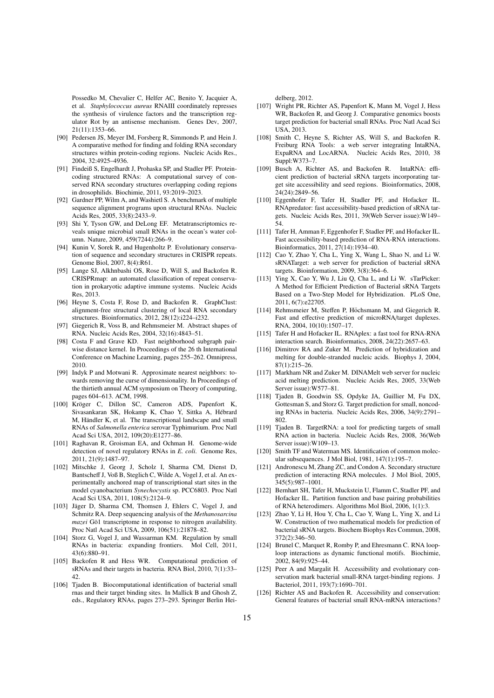Possedko M, Chevalier C, Helfer AC, Benito Y, Jacquier A, et al. *Staphylococcus aureus* RNAIII coordinately represses the synthesis of virulence factors and the transcription regulator Rot by an antisense mechanism. Genes Dev, 2007, 21(11):1353–66.

- <span id="page-14-0"></span>[90] Pedersen JS, Meyer IM, Forsberg R, Simmonds P, and Hein J. A comparative method for finding and folding RNA secondary structures within protein-coding regions. Nucleic Acids Res., 2004, 32:4925–4936.
- <span id="page-14-1"></span>[91] Findeiß S, Engelhardt J, Prohaska SP, and Stadler PF. Proteincoding structured RNAs: A computational survey of conserved RNA secondary structures overlapping coding regions in drosophilids. Biochimie, 2011, 93:2019–2023.
- <span id="page-14-2"></span>[92] Gardner PP, Wilm A, and Washietl S. A benchmark of multiple sequence alignment programs upon structural RNAs. Nucleic Acids Res, 2005, 33(8):2433–9.
- <span id="page-14-3"></span>[93] Shi Y, Tyson GW, and DeLong EF. Metatranscriptomics reveals unique microbial small RNAs in the ocean's water column. Nature, 2009, 459(7244):266–9.
- <span id="page-14-4"></span>[94] Kunin V, Sorek R, and Hugenholtz P. Evolutionary conservation of sequence and secondary structures in CRISPR repeats. Genome Biol, 2007, 8(4):R61.
- <span id="page-14-5"></span>[95] Lange SJ, Alkhnbashi OS, Rose D, Will S, and Backofen R. CRISPRmap: an automated classification of repeat conservation in prokaryotic adaptive immune systems. Nucleic Acids Res, 2013.
- <span id="page-14-6"></span>[96] Heyne S, Costa F, Rose D, and Backofen R. GraphClust: alignment-free structural clustering of local RNA secondary structures. Bioinformatics, 2012, 28(12):i224–i232.
- <span id="page-14-7"></span>[97] Giegerich R, Voss B, and Rehmsmeier M. Abstract shapes of RNA. Nucleic Acids Res, 2004, 32(16):4843–51.
- <span id="page-14-8"></span>[98] Costa F and Grave KD. Fast neighborhood subgraph pairwise distance kernel. In Proceedings of the 26 th International Conference on Machine Learning, pages 255–262. Omnipress, 2010.
- <span id="page-14-9"></span>[99] Indyk P and Motwani R. Approximate nearest neighbors: towards removing the curse of dimensionality. In Proceedings of the thirtieth annual ACM symposium on Theory of computing, pages 604–613. ACM, 1998.
- <span id="page-14-10"></span>[100] Kröger C, Dillon SC, Cameron ADS, Papenfort K, Sivasankaran SK, Hokamp K, Chao Y, Sittka A, Hebrard ´ M, Händler K, et al. The transcriptional landscape and small RNAs of *Salmonella enterica* serovar Typhimurium. Proc Natl Acad Sci USA, 2012, 109(20):E1277–86.
- <span id="page-14-11"></span>[101] Raghavan R, Groisman EA, and Ochman H. Genome-wide detection of novel regulatory RNAs in *E. coli*. Genome Res, 2011, 21(9):1487–97.
- <span id="page-14-12"></span>[102] Mitschke J, Georg J, Scholz I, Sharma CM, Dienst D, Bantscheff J, Voß B, Steglich C, Wilde A, Vogel J, et al. An experimentally anchored map of transcriptional start sites in the model cyanobacterium *Synechocystis* sp. PCC6803. Proc Natl Acad Sci USA, 2011, 108(5):2124–9.
- <span id="page-14-13"></span>[103] Jäger D, Sharma CM, Thomsen J, Ehlers C, Vogel J, and Schmitz RA. Deep sequencing analysis of the *Methanosarcina mazei* Gö1 transcriptome in response to nitrogen availability. Proc Natl Acad Sci USA, 2009, 106(51):21878–82.
- <span id="page-14-14"></span>[104] Storz G, Vogel J, and Wassarman KM. Regulation by small RNAs in bacteria: expanding frontiers. Mol Cell, 2011, 43(6):880–91.
- <span id="page-14-15"></span>[105] Backofen R and Hess WR. Computational prediction of sRNAs and their targets in bacteria. RNA Biol, 2010, 7(1):33– 42.
- <span id="page-14-16"></span>[106] Tjaden B. Biocomputational identification of bacterial small rnas and their target binding sites. In Mallick B and Ghosh Z, eds., Regulatory RNAs, pages 273–293. Springer Berlin Hei-

delberg, 2012.

- <span id="page-14-24"></span>[107] Wright PR, Richter AS, Papenfort K, Mann M, Vogel J, Hess WR, Backofen R, and Georg J. Comparative genomics boosts target prediction for bacterial small RNAs. Proc Natl Acad Sci USA, 2013.
- <span id="page-14-25"></span>[108] Smith C, Heyne S, Richter AS, Will S, and Backofen R. Freiburg RNA Tools: a web server integrating IntaRNA, ExpaRNA and LocARNA. Nucleic Acids Res, 2010, 38 Suppl:W373–7.
- <span id="page-14-26"></span>[109] Busch A, Richter AS, and Backofen R. IntaRNA: efficient prediction of bacterial sRNA targets incorporating target site accessibility and seed regions. Bioinformatics, 2008, 24(24):2849–56.
- <span id="page-14-27"></span>[110] Eggenhofer F, Tafer H, Stadler PF, and Hofacker IL. RNApredator: fast accessibility-based prediction of sRNA targets. Nucleic Acids Res, 2011, 39(Web Server issue):W149– 54.
- <span id="page-14-28"></span>[111] Tafer H, Amman F, Eggenhofer F, Stadler PF, and Hofacker IL. Fast accessibility-based prediction of RNA-RNA interactions. Bioinformatics, 2011, 27(14):1934–40.
- <span id="page-14-29"></span>[112] Cao Y, Zhao Y, Cha L, Ying X, Wang L, Shao N, and Li W. sRNATarget: a web server for prediction of bacterial sRNA targets. Bioinformation, 2009, 3(8):364–6.
- <span id="page-14-30"></span>[113] Ying X, Cao Y, Wu J, Liu Q, Cha L, and Li W. sTarPicker: A Method for Efficient Prediction of Bacterial sRNA Targets Based on a Two-Step Model for Hybridization. PLoS One, 2011, 6(7):e22705.
- <span id="page-14-17"></span>[114] Rehmsmeier M, Steffen P, Höchsmann M, and Giegerich R. Fast and effective prediction of microRNA/target duplexes. RNA, 2004, 10(10):1507–17.
- <span id="page-14-18"></span>[115] Tafer H and Hofacker IL. RNAplex: a fast tool for RNA-RNA interaction search. Bioinformatics, 2008, 24(22):2657–63.
- <span id="page-14-19"></span>[116] Dimitrov RA and Zuker M. Prediction of hybridization and melting for double-stranded nucleic acids. Biophys J, 2004, 87(1):215–26.
- <span id="page-14-20"></span>[117] Markham NR and Zuker M. DINAMelt web server for nucleic acid melting prediction. Nucleic Acids Res, 2005, 33(Web Server issue):W577–81.
- <span id="page-14-21"></span>[118] Tjaden B, Goodwin SS, Opdyke JA, Guillier M, Fu DX, Gottesman S, and Storz G. Target prediction for small, noncoding RNAs in bacteria. Nucleic Acids Res, 2006, 34(9):2791– 802.
- <span id="page-14-22"></span>[119] Tjaden B. TargetRNA: a tool for predicting targets of small RNA action in bacteria. Nucleic Acids Res, 2008, 36(Web Server issue):W109–13.
- <span id="page-14-23"></span>[120] Smith TF and Waterman MS. Identification of common molecular subsequences. J Mol Biol, 1981, 147(1):195–7.
- <span id="page-14-31"></span>[121] Andronescu M, Zhang ZC, and Condon A. Secondary structure prediction of interacting RNA molecules. J Mol Biol, 2005, 345(5):987–1001.
- <span id="page-14-32"></span>[122] Bernhart SH, Tafer H, Muckstein U, Flamm C, Stadler PF, and Hofacker IL. Partition function and base pairing probabilities of RNA heterodimers. Algorithms Mol Biol, 2006, 1(1):3.
- <span id="page-14-33"></span>[123] Zhao Y, Li H, Hou Y, Cha L, Cao Y, Wang L, Ying X, and Li W. Construction of two mathematical models for prediction of bacterial sRNA targets. Biochem Biophys Res Commun, 2008, 372(2):346–50.
- <span id="page-14-34"></span>[124] Brunel C, Marquet R, Romby P, and Ehresmann C. RNA looploop interactions as dynamic functional motifs. Biochimie, 2002, 84(9):925–44.
- <span id="page-14-35"></span>[125] Peer A and Margalit H. Accessibility and evolutionary conservation mark bacterial small-RNA target-binding regions. J Bacteriol, 2011, 193(7):1690–701.
- <span id="page-14-36"></span>[126] Richter AS and Backofen R. Accessibility and conservation: General features of bacterial small RNA-mRNA interactions?